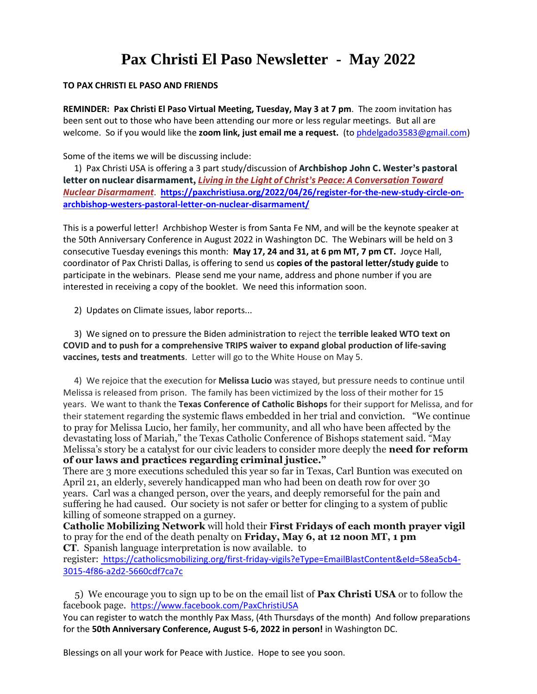## **Pax Christi El Paso Newsletter - May 2022**

## **TO PAX CHRISTI EL PASO AND FRIENDS**

**REMINDER: Pax Christi El Paso Virtual Meeting, Tuesday, May 3 at 7 pm**. The zoom invitation has been sent out to those who have been attending our more or less regular meetings. But all are welcome. So if you would like the **zoom link, just email me a request.** (t[o phdelgado3583@gmail.com\)](mailto:phdelgado3583@gmail.com)

Some of the items we will be discussing include:

1) Pax Christi USA is offering a 3 part study/discussion of **Archbishop John C. Wester's pastoral letter on nuclear disarmament,** *[Living in the Light of Christ's Peace: A Conversation Toward](https://nam12.safelinks.protection.outlook.com/?url=https%3A%2F%2Fpaxchristiusa.org%2F2022%2F01%2F11%2Fpress-release-pax-christi-usa-welcomes-archbishop-westers-call-for-nuclear-disarmament%2F&data=05%7C01%7C%7C484ff9d504ce401751d808da2cb2b51b%7C84df9e7fe9f640afb435aaaaaaaaaaaa%7C1%7C0%7C637871443294602942%7CUnknown%7CTWFpbGZsb3d8eyJWIjoiMC4wLjAwMDAiLCJQIjoiV2luMzIiLCJBTiI6Ik1haWwiLCJXVCI6Mn0%3D%7C3000%7C%7C%7C&sdata=Cy2PN6cbbW4VPOAn9w%2Fctyt%2FXZ6qV6dNXSB2fZiZ720%3D&reserved=0)  [Nuclear Disarmament](https://nam12.safelinks.protection.outlook.com/?url=https%3A%2F%2Fpaxchristiusa.org%2F2022%2F01%2F11%2Fpress-release-pax-christi-usa-welcomes-archbishop-westers-call-for-nuclear-disarmament%2F&data=05%7C01%7C%7C484ff9d504ce401751d808da2cb2b51b%7C84df9e7fe9f640afb435aaaaaaaaaaaa%7C1%7C0%7C637871443294602942%7CUnknown%7CTWFpbGZsb3d8eyJWIjoiMC4wLjAwMDAiLCJQIjoiV2luMzIiLCJBTiI6Ik1haWwiLCJXVCI6Mn0%3D%7C3000%7C%7C%7C&sdata=Cy2PN6cbbW4VPOAn9w%2Fctyt%2FXZ6qV6dNXSB2fZiZ720%3D&reserved=0)*. **[https://paxchristiusa.org/2022/04/26/register-for-the-new-study-circle-on](https://nam12.safelinks.protection.outlook.com/?url=https%3A%2F%2Fpaxchristiusa.org%2F2022%2F04%2F26%2Fregister-for-the-new-study-circle-on-archbishop-westers-pastoral-letter-on-nuclear-disarmament%2F&data=05%7C01%7C%7C484ff9d504ce401751d808da2cb2b51b%7C84df9e7fe9f640afb435aaaaaaaaaaaa%7C1%7C0%7C637871443294602942%7CUnknown%7CTWFpbGZsb3d8eyJWIjoiMC4wLjAwMDAiLCJQIjoiV2luMzIiLCJBTiI6Ik1haWwiLCJXVCI6Mn0%3D%7C3000%7C%7C%7C&sdata=a5bc1IwFBA2RHL5fEfQrxDudySkQWjaqKebHUyF4mTk%3D&reserved=0)[archbishop-westers-pastoral-letter-on-nuclear-disarmament/](https://nam12.safelinks.protection.outlook.com/?url=https%3A%2F%2Fpaxchristiusa.org%2F2022%2F04%2F26%2Fregister-for-the-new-study-circle-on-archbishop-westers-pastoral-letter-on-nuclear-disarmament%2F&data=05%7C01%7C%7C484ff9d504ce401751d808da2cb2b51b%7C84df9e7fe9f640afb435aaaaaaaaaaaa%7C1%7C0%7C637871443294602942%7CUnknown%7CTWFpbGZsb3d8eyJWIjoiMC4wLjAwMDAiLCJQIjoiV2luMzIiLCJBTiI6Ik1haWwiLCJXVCI6Mn0%3D%7C3000%7C%7C%7C&sdata=a5bc1IwFBA2RHL5fEfQrxDudySkQWjaqKebHUyF4mTk%3D&reserved=0)**

This is a powerful letter! Archbishop Wester is from Santa Fe NM, and will be the keynote speaker at the 50th Anniversary Conference in August 2022 in Washington DC. The Webinars will be held on 3 consecutive Tuesday evenings this month: **May 17, 24 and 31, at 6 pm MT, 7 pm CT.** Joyce Hall, coordinator of Pax Christi Dallas, is offering to send us **copies of the pastoral letter/study guide** to participate in the webinars. Please send me your name, address and phone number if you are interested in receiving a copy of the booklet. We need this information soon.

2) Updates on Climate issues, labor reports...

3) We signed on to pressure the Biden administration to reject the **terrible leaked WTO text on COVID and to push for a comprehensive TRIPS waiver to expand global production of life-saving vaccines, tests and treatments**. Letter will go to the White House on May 5.

4) We rejoice that the execution for **Melissa Lucio** was stayed, but pressure needs to continue until Melissa is released from prison. The family has been victimized by the loss of their mother for 15 years. We want to thank the **Texas Conference of Catholic Bishops** for their support for Melissa, and for their statement regarding the systemic flaws embedded in her trial and conviction. "We continue to pray for Melissa Lucio, her family, her community, and all who have been affected by the devastating loss of Mariah," the Texas Catholic Conference of Bishops statement said. "May Melissa's story be a catalyst for our civic leaders to consider more deeply the **need for reform of our laws and practices regarding criminal justice."** 

There are 3 more executions scheduled this year so far in Texas, Carl Buntion was executed on April 21, an elderly, severely handicapped man who had been on death row for over 30 years. Carl was a changed person, over the years, and deeply remorseful for the pain and suffering he had caused. Our society is not safer or better for clinging to a system of public killing of someone strapped on a gurney.

**Catholic Mobilizing Network** will hold their **First Fridays of each month prayer vigil**  to pray for the end of the death penalty on **Friday, May 6, at 12 noon MT, 1 pm CT**. Spanish language interpretation is now available. to

register: [https://catholicsmobilizing.org/first-friday-vigils?eType=EmailBlastContent&eId=58ea5cb4-](https://nam12.safelinks.protection.outlook.com/?url=https%3A%2F%2Fcatholicsmobilizing.org%2Ffirst-friday-vigils%3FeType%3DEmailBlastContent%26eId%3D58ea5cb4-3015-4f86-a2d2-5660cdf7ca7c&data=05%7C01%7C%7C484ff9d504ce401751d808da2cb2b51b%7C84df9e7fe9f640afb435aaaaaaaaaaaa%7C1%7C0%7C637871443294602942%7CUnknown%7CTWFpbGZsb3d8eyJWIjoiMC4wLjAwMDAiLCJQIjoiV2luMzIiLCJBTiI6Ik1haWwiLCJXVCI6Mn0%3D%7C3000%7C%7C%7C&sdata=1R%2FkDPRaKzZNsOvSKX58vDGhBksHuyWBKVeE0KUNOUs%3D&reserved=0) [3015-4f86-a2d2-5660cdf7ca7c](https://nam12.safelinks.protection.outlook.com/?url=https%3A%2F%2Fcatholicsmobilizing.org%2Ffirst-friday-vigils%3FeType%3DEmailBlastContent%26eId%3D58ea5cb4-3015-4f86-a2d2-5660cdf7ca7c&data=05%7C01%7C%7C484ff9d504ce401751d808da2cb2b51b%7C84df9e7fe9f640afb435aaaaaaaaaaaa%7C1%7C0%7C637871443294602942%7CUnknown%7CTWFpbGZsb3d8eyJWIjoiMC4wLjAwMDAiLCJQIjoiV2luMzIiLCJBTiI6Ik1haWwiLCJXVCI6Mn0%3D%7C3000%7C%7C%7C&sdata=1R%2FkDPRaKzZNsOvSKX58vDGhBksHuyWBKVeE0KUNOUs%3D&reserved=0)

5) We encourage you to sign up to be on the email list of **Pax Christi USA** or to follow the facebook page. [https://www.facebook.com/PaxChristiUSA](https://nam12.safelinks.protection.outlook.com/?url=https%3A%2F%2Fwww.facebook.com%2FPaxChristiUSA&data=05%7C01%7C%7C484ff9d504ce401751d808da2cb2b51b%7C84df9e7fe9f640afb435aaaaaaaaaaaa%7C1%7C0%7C637871443294602942%7CUnknown%7CTWFpbGZsb3d8eyJWIjoiMC4wLjAwMDAiLCJQIjoiV2luMzIiLCJBTiI6Ik1haWwiLCJXVCI6Mn0%3D%7C3000%7C%7C%7C&sdata=Sh%2FYDQjWCfCbmBMPAPLsYKHFoE45ZIzgk9UURKpK87c%3D&reserved=0) 

You can register to watch the monthly Pax Mass, (4th Thursdays of the month) And follow preparations for the **50th Anniversary Conference, August 5-6, 2022 in person!** in Washington DC.

Blessings on all your work for Peace with Justice. Hope to see you soon.